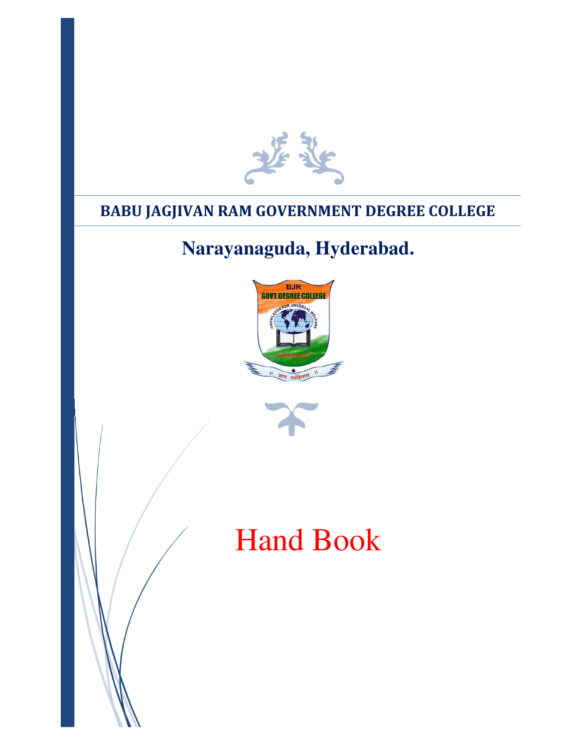

# **BABU JAGJIVAN RAM GOVERNMENT DEGREE COLLEGE**

# **Narayanaguda, Hyderabad.**





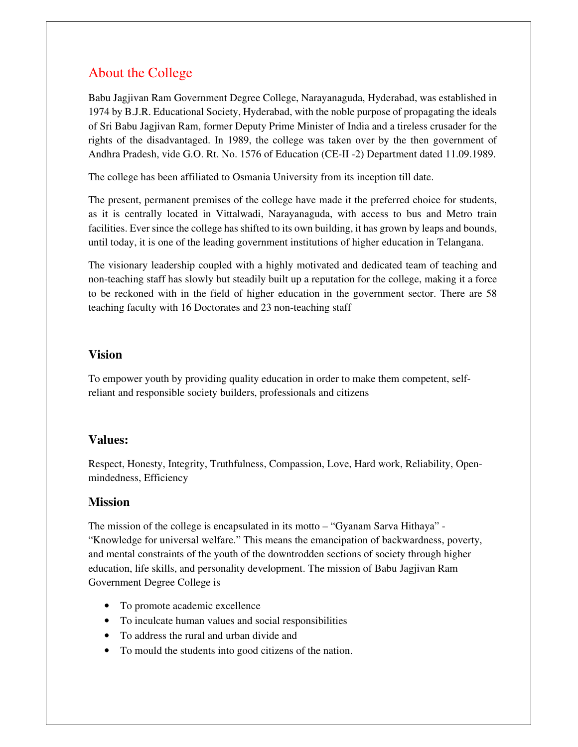## About the College

Babu Jagjivan Ram Government Degree College, Narayanaguda, Hyderabad, was established in 1974 by B.J.R. Educational Society, Hyderabad, with the noble purpose of propagating the ideals of Sri Babu Jagjivan Ram, former Deputy Prime Minister of India and a tireless crusader for the rights of the disadvantaged. In 1989, the college was taken over by the then government of Andhra Pradesh, vide G.O. Rt. No. 1576 of Education (CE-II -2) Department dated 11.09.1989.

The college has been affiliated to Osmania University from its inception till date.

The present, permanent premises of the college have made it the preferred choice for students, as it is centrally located in Vittalwadi, Narayanaguda, with access to bus and Metro train facilities. Ever since the college has shifted to its own building, it has grown by leaps and bounds, until today, it is one of the leading government institutions of higher education in Telangana.

The visionary leadership coupled with a highly motivated and dedicated team of teaching and non-teaching staff has slowly but steadily built up a reputation for the college, making it a force to be reckoned with in the field of higher education in the government sector. There are 58 teaching faculty with 16 Doctorates and 23 non-teaching staff

#### **Vision**

To empower youth by providing quality education in order to make them competent, selfreliant and responsible society builders, professionals and citizens

#### **Values:**

Respect, Honesty, Integrity, Truthfulness, Compassion, Love, Hard work, Reliability, Openmindedness, Efficiency

#### **Mission**

The mission of the college is encapsulated in its motto – "Gyanam Sarva Hithaya" - "Knowledge for universal welfare." This means the emancipation of backwardness, poverty, and mental constraints of the youth of the downtrodden sections of society through higher education, life skills, and personality development. The mission of Babu Jagjivan Ram Government Degree College is

- To promote academic excellence
- To inculcate human values and social responsibilities
- To address the rural and urban divide and
- To mould the students into good citizens of the nation.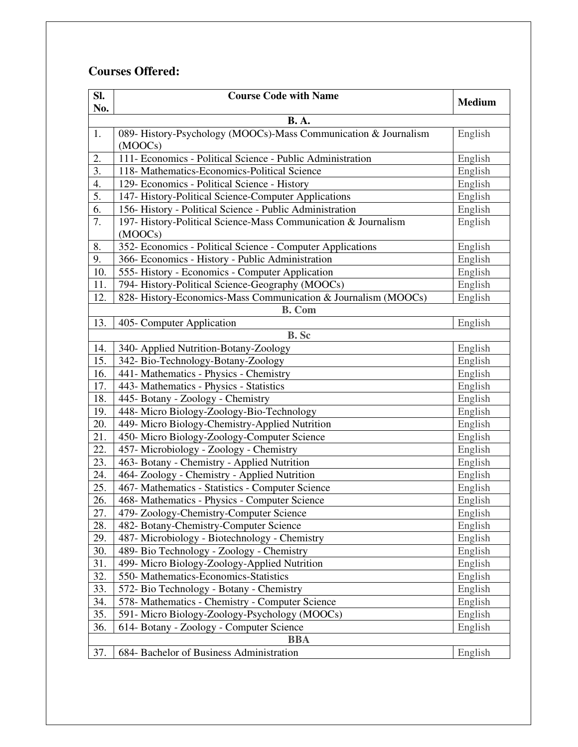## **Courses Offered:**

| SI.              | <b>Course Code with Name</b>                                               | <b>Medium</b> |
|------------------|----------------------------------------------------------------------------|---------------|
| No.              |                                                                            |               |
|                  | <b>B.A.</b>                                                                |               |
| 1.               | 089- History-Psychology (MOOCs)-Mass Communication & Journalism<br>(MOOCs) | English       |
| 2.               | 111- Economics - Political Science - Public Administration                 | English       |
| $\overline{3}$ . | 118- Mathematics-Economics-Political Science                               | English       |
| 4.               | 129- Economics - Political Science - History                               | English       |
| 5.               | 147- History-Political Science-Computer Applications                       | English       |
| 6.               | 156- History - Political Science - Public Administration                   | English       |
| 7.               | 197- History-Political Science-Mass Communication & Journalism             | English       |
|                  | (MOOCs)                                                                    |               |
| 8.               | 352- Economics - Political Science - Computer Applications                 | English       |
| 9.               | 366- Economics - History - Public Administration                           | English       |
| 10.              | 555- History - Economics - Computer Application                            | English       |
| 11.              | 794- History-Political Science-Geography (MOOCs)                           | English       |
| 12.              | 828- History-Economics-Mass Communication & Journalism (MOOCs)             | English       |
|                  | <b>B.</b> Com                                                              |               |
| 13.              | 405- Computer Application                                                  | English       |
|                  | <b>B.</b> Sc                                                               |               |
| 14.              | 340- Applied Nutrition-Botany-Zoology                                      | English       |
| 15.              | 342- Bio-Technology-Botany-Zoology                                         | English       |
| 16.              | 441- Mathematics - Physics - Chemistry                                     | English       |
| 17.              | 443- Mathematics - Physics - Statistics                                    | English       |
| 18.              | 445- Botany - Zoology - Chemistry                                          | English       |
| 19.              | 448- Micro Biology-Zoology-Bio-Technology                                  | English       |
| 20.              | 449- Micro Biology-Chemistry-Applied Nutrition                             | English       |
| 21.              | 450- Micro Biology-Zoology-Computer Science                                | English       |
| 22.              | 457- Microbiology - Zoology - Chemistry                                    | English       |
| 23.              | 463- Botany - Chemistry - Applied Nutrition                                | English       |
| 24.              | 464- Zoology - Chemistry - Applied Nutrition                               | English       |
| 25.              | 467- Mathematics - Statistics - Computer Science                           | English       |
| 26.              | 468- Mathematics - Physics - Computer Science                              | English       |
| 27.              | 479- Zoology-Chemistry-Computer Science                                    | English       |
| 28.              | 482- Botany-Chemistry-Computer Science                                     | English       |
| 29.              | 487- Microbiology - Biotechnology - Chemistry                              | English       |
| 30.              | 489- Bio Technology - Zoology - Chemistry                                  | English       |
| 31.              | 499- Micro Biology-Zoology-Applied Nutrition                               | English       |
| 32.              | 550- Mathematics-Economics-Statistics                                      | English       |
| 33.              | 572- Bio Technology - Botany - Chemistry                                   | English       |
| 34.              | 578- Mathematics - Chemistry - Computer Science                            | English       |
| 35.              | 591- Micro Biology-Zoology-Psychology (MOOCs)                              | English       |
| 36.              | 614- Botany - Zoology - Computer Science                                   | English       |
| <b>BBA</b>       |                                                                            |               |
| 37.              | 684- Bachelor of Business Administration                                   | English       |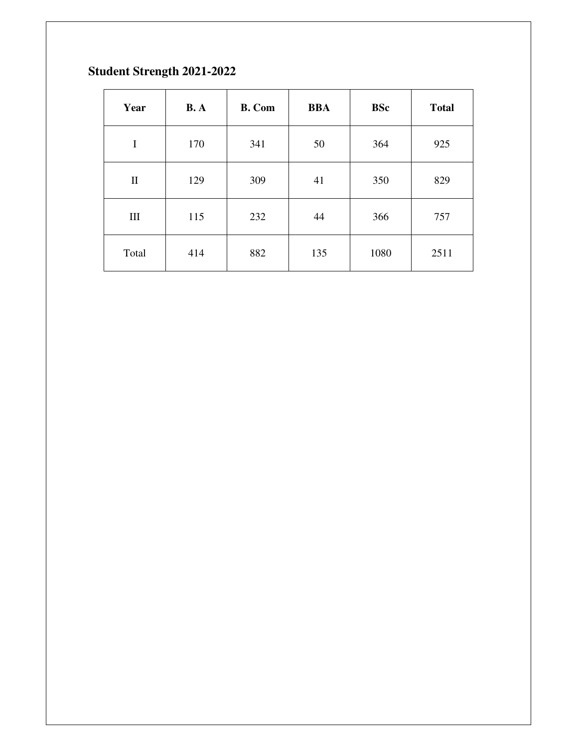# **Student Strength 2021-2022**

| Year         | <b>B.</b> A | <b>B.</b> Com | <b>BBA</b> | <b>BSc</b> | <b>Total</b> |
|--------------|-------------|---------------|------------|------------|--------------|
| I            | 170         | 341           | 50         | 364        | 925          |
| $\mathbf{I}$ | 129         | 309           | 41         | 350        | 829          |
| $\rm III$    | 115         | 232           | 44         | 366        | 757          |
| Total        | 414         | 882           | 135        | 1080       | 2511         |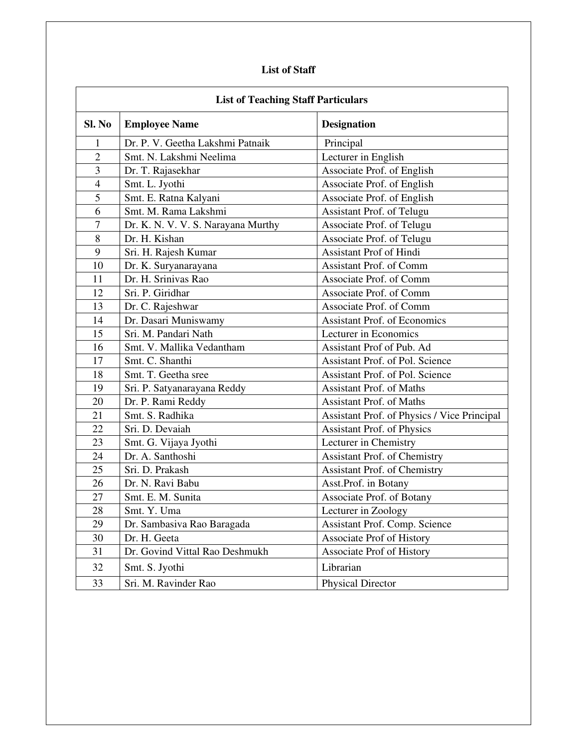#### **List of Staff**

| <b>List of Teaching Staff Particulars</b> |                                    |                                             |
|-------------------------------------------|------------------------------------|---------------------------------------------|
| Sl. No                                    | <b>Employee Name</b>               | <b>Designation</b>                          |
| 1                                         | Dr. P. V. Geetha Lakshmi Patnaik   | Principal                                   |
| $\overline{2}$                            | Smt. N. Lakshmi Neelima            | Lecturer in English                         |
| 3                                         | Dr. T. Rajasekhar                  | Associate Prof. of English                  |
| $\overline{4}$                            | Smt. L. Jyothi                     | Associate Prof. of English                  |
| 5                                         | Smt. E. Ratna Kalyani              | Associate Prof. of English                  |
| 6                                         | Smt. M. Rama Lakshmi               | Assistant Prof. of Telugu                   |
| $\tau$                                    | Dr. K. N. V. V. S. Narayana Murthy | Associate Prof. of Telugu                   |
| 8                                         | Dr. H. Kishan                      | Associate Prof. of Telugu                   |
| 9                                         | Sri. H. Rajesh Kumar               | Assistant Prof of Hindi                     |
| 10                                        | Dr. K. Suryanarayana               | <b>Assistant Prof. of Comm</b>              |
| 11                                        | Dr. H. Srinivas Rao                | Associate Prof. of Comm                     |
| 12                                        | Sri. P. Giridhar                   | Associate Prof. of Comm                     |
| 13                                        | Dr. C. Rajeshwar                   | Associate Prof. of Comm                     |
| 14                                        | Dr. Dasari Muniswamy               | <b>Assistant Prof. of Economics</b>         |
| 15                                        | Sri. M. Pandari Nath               | Lecturer in Economics                       |
| 16                                        | Smt. V. Mallika Vedantham          | Assistant Prof of Pub. Ad                   |
| 17                                        | Smt. C. Shanthi                    | <b>Assistant Prof. of Pol. Science</b>      |
| 18                                        | Smt. T. Geetha sree                | Assistant Prof. of Pol. Science             |
| 19                                        | Sri. P. Satyanarayana Reddy        | Assistant Prof. of Maths                    |
| 20                                        | Dr. P. Rami Reddy                  | <b>Assistant Prof. of Maths</b>             |
| 21                                        | Smt. S. Radhika                    | Assistant Prof. of Physics / Vice Principal |
| 22                                        | Sri. D. Devaiah                    | <b>Assistant Prof. of Physics</b>           |
| 23                                        | Smt. G. Vijaya Jyothi              | Lecturer in Chemistry                       |
| 24                                        | Dr. A. Santhoshi                   | <b>Assistant Prof. of Chemistry</b>         |
| 25                                        | Sri. D. Prakash                    | Assistant Prof. of Chemistry                |
| 26                                        | Dr. N. Ravi Babu                   | Asst.Prof. in Botany                        |
| 27                                        | Smt. E. M. Sunita                  | Associate Prof. of Botany                   |
| 28                                        | Smt. Y. Uma                        | Lecturer in Zoology                         |
| 29                                        | Dr. Sambasiva Rao Baragada         | Assistant Prof. Comp. Science               |
| 30                                        | Dr. H. Geeta                       | Associate Prof of History                   |
| 31                                        | Dr. Govind Vittal Rao Deshmukh     | Associate Prof of History                   |
| 32                                        | Smt. S. Jyothi                     | Librarian                                   |
| 33                                        | Sri. M. Ravinder Rao               | <b>Physical Director</b>                    |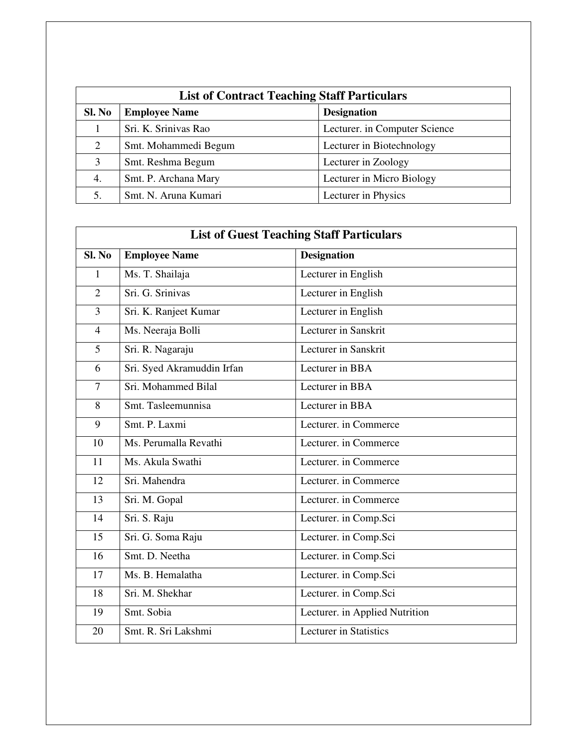| <b>List of Contract Teaching Staff Particulars</b> |                      |                               |
|----------------------------------------------------|----------------------|-------------------------------|
| Sl. No                                             | <b>Employee Name</b> | <b>Designation</b>            |
|                                                    | Sri. K. Srinivas Rao | Lecturer. in Computer Science |
| 2                                                  | Smt. Mohammedi Begum | Lecturer in Biotechnology     |
| 3                                                  | Smt. Reshma Begum    | Lecturer in Zoology           |
| 4.                                                 | Smt. P. Archana Mary | Lecturer in Micro Biology     |
|                                                    | Smt. N. Aruna Kumari | Lecturer in Physics           |

| <b>List of Guest Teaching Staff Particulars</b> |                            |                                |
|-------------------------------------------------|----------------------------|--------------------------------|
| Sl. No                                          | <b>Employee Name</b>       | <b>Designation</b>             |
| 1                                               | Ms. T. Shailaja            | Lecturer in English            |
| $\overline{2}$                                  | Sri. G. Srinivas           | Lecturer in English            |
| $\overline{3}$                                  | Sri. K. Ranjeet Kumar      | Lecturer in English            |
| $\overline{4}$                                  | Ms. Neeraja Bolli          | Lecturer in Sanskrit           |
| $5\overline{)}$                                 | Sri. R. Nagaraju           | Lecturer in Sanskrit           |
| 6                                               | Sri. Syed Akramuddin Irfan | Lecturer in BBA                |
| $\overline{7}$                                  | Sri. Mohammed Bilal        | Lecturer in BBA                |
| 8                                               | Smt. Tasleemunnisa         | Lecturer in BBA                |
| 9                                               | Smt. P. Laxmi              | Lecturer. in Commerce          |
| 10                                              | Ms. Perumalla Revathi      | Lecturer. in Commerce          |
| 11                                              | Ms. Akula Swathi           | Lecturer. in Commerce          |
| 12                                              | Sri. Mahendra              | Lecturer. in Commerce          |
| 13                                              | Sri. M. Gopal              | Lecturer. in Commerce          |
| 14                                              | Sri. S. Raju               | Lecturer. in Comp.Sci          |
| 15                                              | Sri. G. Soma Raju          | Lecturer. in Comp.Sci          |
| 16                                              | Smt. D. Neetha             | Lecturer. in Comp.Sci          |
| 17                                              | Ms. B. Hemalatha           | Lecturer. in Comp.Sci          |
| 18                                              | Sri. M. Shekhar            | Lecturer. in Comp.Sci          |
| 19                                              | Smt. Sobia                 | Lecturer. in Applied Nutrition |
| 20                                              | Smt. R. Sri Lakshmi        | <b>Lecturer</b> in Statistics  |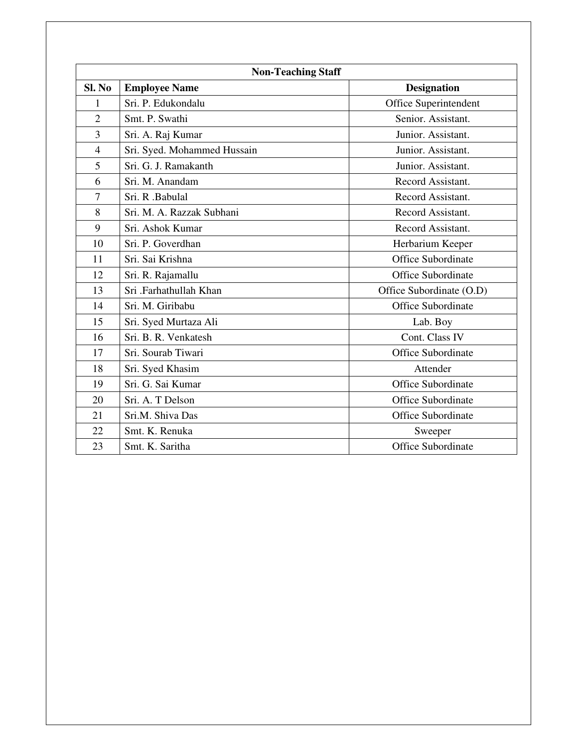| <b>Non-Teaching Staff</b> |                             |                           |  |
|---------------------------|-----------------------------|---------------------------|--|
| Sl. No                    | <b>Employee Name</b>        | <b>Designation</b>        |  |
| 1                         | Sri. P. Edukondalu          | Office Superintendent     |  |
| $\overline{2}$            | Smt. P. Swathi              | Senior. Assistant.        |  |
| 3                         | Sri. A. Raj Kumar           | Junior. Assistant.        |  |
| $\overline{4}$            | Sri. Syed. Mohammed Hussain | Junior. Assistant.        |  |
| 5                         | Sri. G. J. Ramakanth        | Junior. Assistant.        |  |
| 6                         | Sri. M. Anandam             | Record Assistant.         |  |
| $\overline{7}$            | Sri. R. Babulal             | Record Assistant.         |  |
| 8                         | Sri. M. A. Razzak Subhani   | Record Assistant.         |  |
| 9                         | Sri. Ashok Kumar            | Record Assistant.         |  |
| 10                        | Sri. P. Goverdhan           | Herbarium Keeper          |  |
| 11                        | Sri. Sai Krishna            | <b>Office Subordinate</b> |  |
| 12                        | Sri. R. Rajamallu           | <b>Office Subordinate</b> |  |
| 13                        | Sri .Farhathullah Khan      | Office Subordinate (O.D)  |  |
| 14                        | Sri. M. Giribabu            | <b>Office Subordinate</b> |  |
| 15                        | Sri. Syed Murtaza Ali       | Lab. Boy                  |  |
| 16                        | Sri. B. R. Venkatesh        | Cont. Class IV            |  |
| 17                        | Sri. Sourab Tiwari          | <b>Office Subordinate</b> |  |
| 18                        | Sri. Syed Khasim            | Attender                  |  |
| 19                        | Sri. G. Sai Kumar           | <b>Office Subordinate</b> |  |
| 20                        | Sri. A. T Delson            | Office Subordinate        |  |
| 21                        | Sri.M. Shiva Das            | <b>Office Subordinate</b> |  |
| 22                        | Smt. K. Renuka              | Sweeper                   |  |
| 23                        | Smt. K. Saritha             | <b>Office Subordinate</b> |  |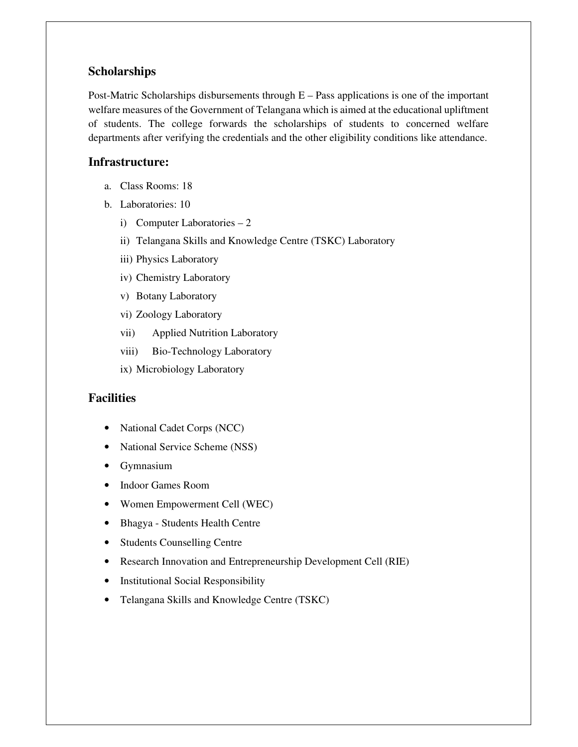#### **Scholarships**

Post-Matric Scholarships disbursements through E – Pass applications is one of the important welfare measures of the Government of Telangana which is aimed at the educational upliftment of students. The college forwards the scholarships of students to concerned welfare departments after verifying the credentials and the other eligibility conditions like attendance.

#### **Infrastructure:**

- a. Class Rooms: 18
- b. Laboratories: 10
	- i) Computer Laboratories 2
	- ii) Telangana Skills and Knowledge Centre (TSKC) Laboratory
	- iii) Physics Laboratory
	- iv) Chemistry Laboratory
	- v) Botany Laboratory
	- vi) Zoology Laboratory
	- vii) Applied Nutrition Laboratory
	- viii) Bio-Technology Laboratory
	- ix) Microbiology Laboratory

#### **Facilities**

- National Cadet Corps (NCC)
- National Service Scheme (NSS)
- Gymnasium
- Indoor Games Room
- Women Empowerment Cell (WEC)
- Bhagya Students Health Centre
- Students Counselling Centre
- Research Innovation and Entrepreneurship Development Cell (RIE)
- Institutional Social Responsibility
- Telangana Skills and Knowledge Centre (TSKC)